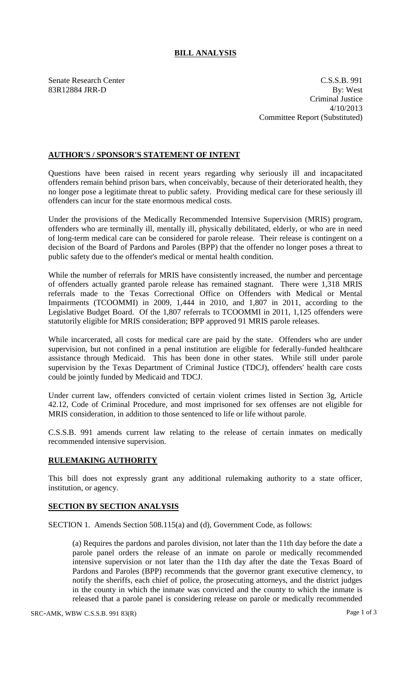## **BILL ANALYSIS**

Senate Research Center C.S.S.B. 991 83R12884 JRR-D By: West Criminal Justice 4/10/2013 Committee Report (Substituted)

## **AUTHOR'S / SPONSOR'S STATEMENT OF INTENT**

Questions have been raised in recent years regarding why seriously ill and incapacitated offenders remain behind prison bars, when conceivably, because of their deteriorated health, they no longer pose a legitimate threat to public safety. Providing medical care for these seriously ill offenders can incur for the state enormous medical costs.

Under the provisions of the Medically Recommended Intensive Supervision (MRIS) program, offenders who are terminally ill, mentally ill, physically debilitated, elderly, or who are in need of long-term medical care can be considered for parole release. Their release is contingent on a decision of the Board of Pardons and Paroles (BPP) that the offender no longer poses a threat to public safety due to the offender's medical or mental health condition.

While the number of referrals for MRIS have consistently increased, the number and percentage of offenders actually granted parole release has remained stagnant. There were 1,318 MRIS referrals made to the Texas Correctional Office on Offenders with Medical or Mental Impairments (TCOOMMI) in 2009, 1,444 in 2010, and 1,807 in 2011, according to the Legislative Budget Board. Of the 1,807 referrals to TCOOMMI in 2011, 1,125 offenders were statutorily eligible for MRIS consideration; BPP approved 91 MRIS parole releases.

While incarcerated, all costs for medical care are paid by the state. Offenders who are under supervision, but not confined in a penal institution are eligible for federally-funded healthcare assistance through Medicaid. This has been done in other states. While still under parole supervision by the Texas Department of Criminal Justice (TDCJ), offenders' health care costs could be jointly funded by Medicaid and TDCJ.

Under current law, offenders convicted of certain violent crimes listed in Section 3g, Article 42.12, Code of Criminal Procedure, and most imprisoned for sex offenses are not eligible for MRIS consideration, in addition to those sentenced to life or life without parole.

C.S.S.B. 991 amends current law relating to the release of certain inmates on medically recommended intensive supervision.

## **RULEMAKING AUTHORITY**

This bill does not expressly grant any additional rulemaking authority to a state officer, institution, or agency.

## **SECTION BY SECTION ANALYSIS**

SECTION 1. Amends Section 508.115(a) and (d), Government Code, as follows:

(a) Requires the pardons and paroles division, not later than the 11th day before the date a parole panel orders the release of an inmate on parole or medically recommended intensive supervision or not later than the 11th day after the date the Texas Board of Pardons and Paroles (BPP) recommends that the governor grant executive clemency, to notify the sheriffs, each chief of police, the prosecuting attorneys, and the district judges in the county in which the inmate was convicted and the county to which the inmate is released that a parole panel is considering release on parole or medically recommended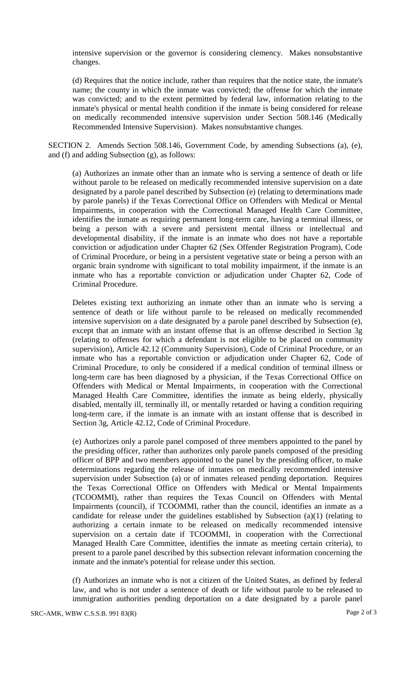intensive supervision or the governor is considering clemency. Makes nonsubstantive changes.

(d) Requires that the notice include, rather than requires that the notice state, the inmate's name; the county in which the inmate was convicted; the offense for which the inmate was convicted; and to the extent permitted by federal law, information relating to the inmate's physical or mental health condition if the inmate is being considered for release on medically recommended intensive supervision under Section 508.146 (Medically Recommended Intensive Supervision). Makes nonsubstantive changes.

SECTION 2. Amends Section 508.146, Government Code, by amending Subsections (a), (e), and (f) and adding Subsection (g), as follows:

(a) Authorizes an inmate other than an inmate who is serving a sentence of death or life without parole to be released on medically recommended intensive supervision on a date designated by a parole panel described by Subsection (e) (relating to determinations made by parole panels) if the Texas Correctional Office on Offenders with Medical or Mental Impairments, in cooperation with the Correctional Managed Health Care Committee, identifies the inmate as requiring permanent long-term care, having a terminal illness, or being a person with a severe and persistent mental illness or intellectual and developmental disability, if the inmate is an inmate who does not have a reportable conviction or adjudication under Chapter 62 (Sex Offender Registration Program), Code of Criminal Procedure, or being in a persistent vegetative state or being a person with an organic brain syndrome with significant to total mobility impairment, if the inmate is an inmate who has a reportable conviction or adjudication under Chapter 62, Code of Criminal Procedure.

Deletes existing text authorizing an inmate other than an inmate who is serving a sentence of death or life without parole to be released on medically recommended intensive supervision on a date designated by a parole panel described by Subsection (e), except that an inmate with an instant offense that is an offense described in Section 3g (relating to offenses for which a defendant is not eligible to be placed on community supervision), Article 42.12 (Community Supervision), Code of Criminal Procedure, or an inmate who has a reportable conviction or adjudication under Chapter 62, Code of Criminal Procedure, to only be considered if a medical condition of terminal illness or long-term care has been diagnosed by a physician, if the Texas Correctional Office on Offenders with Medical or Mental Impairments, in cooperation with the Correctional Managed Health Care Committee, identifies the inmate as being elderly, physically disabled, mentally ill, terminally ill, or mentally retarded or having a condition requiring long-term care, if the inmate is an inmate with an instant offense that is described in Section 3g, Article 42.12, Code of Criminal Procedure.

(e) Authorizes only a parole panel composed of three members appointed to the panel by the presiding officer, rather than authorizes only parole panels composed of the presiding officer of BPP and two members appointed to the panel by the presiding officer, to make determinations regarding the release of inmates on medically recommended intensive supervision under Subsection (a) or of inmates released pending deportation. Requires the Texas Correctional Office on Offenders with Medical or Mental Impairments (TCOOMMI), rather than requires the Texas Council on Offenders with Mental Impairments (council), if TCOOMMI, rather than the council, identifies an inmate as a candidate for release under the guidelines established by Subsection  $(a)(1)$  (relating to authorizing a certain inmate to be released on medically recommended intensive supervision on a certain date if TCOOMMI, in cooperation with the Correctional Managed Health Care Committee, identifies the inmate as meeting certain criteria), to present to a parole panel described by this subsection relevant information concerning the inmate and the inmate's potential for release under this section.

(f) Authorizes an inmate who is not a citizen of the United States, as defined by federal law, and who is not under a sentence of death or life without parole to be released to immigration authorities pending deportation on a date designated by a parole panel